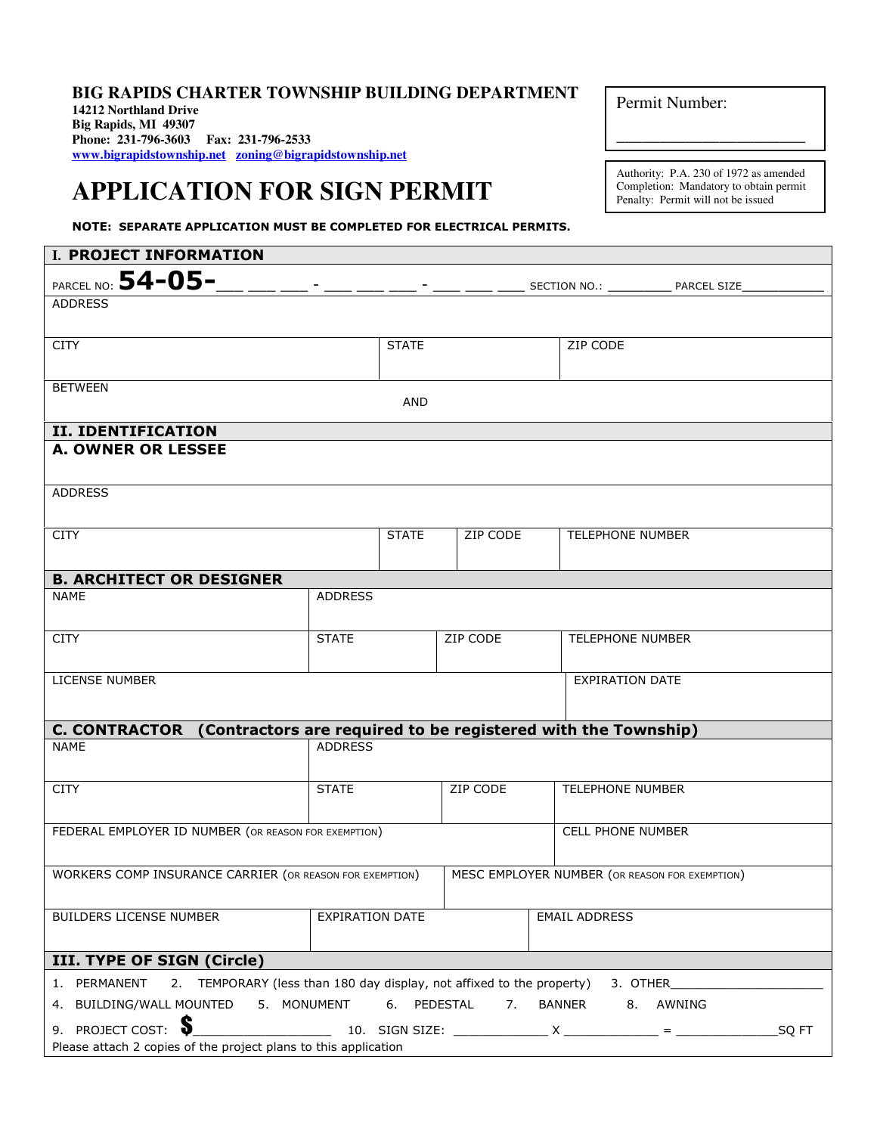## **BIG RAPIDS CHARTER TOWNSHIP BUILDING DEPARTMENT 14212 Northland Drive Big Rapids, MI 49307 Phone: 231-796-3603 Fax: 231-796-2533 www.bigrapidstownship.net zoning@bigrapidstownship.net**

## **APPLICATION FOR SIGN PERMIT**

NOTE: SEPARATE APPLICATION MUST BE COMPLETED FOR ELECTRICAL PERMITS.

Permit Number:

Authority: P.A. 230 of 1972 as amended Completion: Mandatory to obtain permit Penalty: Permit will not be issued

\_\_\_\_\_\_\_\_\_\_\_\_\_\_\_\_\_\_\_\_\_\_

| I. PROJECT INFORMATION                                                                         |                |              |          |                        |                                                                                                                           |                       |  |
|------------------------------------------------------------------------------------------------|----------------|--------------|----------|------------------------|---------------------------------------------------------------------------------------------------------------------------|-----------------------|--|
| PARCEL NO: $54-05-$                                                                            |                |              |          |                        |                                                                                                                           |                       |  |
| <b>ADDRESS</b>                                                                                 |                |              |          |                        |                                                                                                                           |                       |  |
|                                                                                                |                |              |          |                        |                                                                                                                           |                       |  |
| <b>CITY</b>                                                                                    |                | <b>STATE</b> |          |                        | ZIP CODE                                                                                                                  |                       |  |
|                                                                                                |                |              |          |                        |                                                                                                                           |                       |  |
| <b>BETWEEN</b>                                                                                 |                |              |          |                        |                                                                                                                           |                       |  |
| <b>AND</b>                                                                                     |                |              |          |                        |                                                                                                                           |                       |  |
| <b>II. IDENTIFICATION</b>                                                                      |                |              |          |                        |                                                                                                                           |                       |  |
| <b>A. OWNER OR LESSEE</b>                                                                      |                |              |          |                        |                                                                                                                           |                       |  |
|                                                                                                |                |              |          |                        |                                                                                                                           |                       |  |
| <b>ADDRESS</b>                                                                                 |                |              |          |                        |                                                                                                                           |                       |  |
|                                                                                                |                |              |          |                        |                                                                                                                           |                       |  |
| <b>CITY</b>                                                                                    |                | <b>STATE</b> | ZIP CODE |                        | <b>TELEPHONE NUMBER</b>                                                                                                   |                       |  |
|                                                                                                |                |              |          |                        |                                                                                                                           |                       |  |
| <b>B. ARCHITECT OR DESIGNER</b>                                                                |                |              |          |                        |                                                                                                                           |                       |  |
| <b>NAME</b>                                                                                    | <b>ADDRESS</b> |              |          |                        |                                                                                                                           |                       |  |
|                                                                                                |                |              |          |                        |                                                                                                                           |                       |  |
| <b>CITY</b>                                                                                    | <b>STATE</b>   |              | ZIP CODE |                        | <b>TELEPHONE NUMBER</b>                                                                                                   |                       |  |
|                                                                                                |                |              |          |                        |                                                                                                                           |                       |  |
| LICENSE NUMBER                                                                                 |                |              |          | <b>EXPIRATION DATE</b> |                                                                                                                           |                       |  |
|                                                                                                |                |              |          |                        |                                                                                                                           |                       |  |
| C. CONTRACTOR (Contractors are required to be registered with the Township)                    |                |              |          |                        |                                                                                                                           |                       |  |
| <b>NAME</b><br><b>ADDRESS</b>                                                                  |                |              |          |                        |                                                                                                                           |                       |  |
|                                                                                                |                |              |          |                        |                                                                                                                           |                       |  |
| <b>CITY</b>                                                                                    | <b>STATE</b>   |              | ZIP CODE |                        | <b>TELEPHONE NUMBER</b>                                                                                                   |                       |  |
|                                                                                                |                |              |          |                        |                                                                                                                           |                       |  |
| FEDERAL EMPLOYER ID NUMBER (OR REASON FOR EXEMPTION)                                           |                |              |          |                        | <b>CELL PHONE NUMBER</b>                                                                                                  |                       |  |
|                                                                                                |                |              |          |                        |                                                                                                                           |                       |  |
| <b>WORKERS COMP INSURANCE CARRIER (OR REASON FOR EXEMPTION)</b>                                |                |              |          |                        | MESC EMPLOYER NUMBER (OR REASON FOR EXEMPTION)                                                                            |                       |  |
|                                                                                                |                |              |          |                        |                                                                                                                           |                       |  |
| BUILDERS LICENSE NUMBER<br><b>EXPIRATION DATE</b>                                              |                |              |          |                        | <b>EMAIL ADDRESS</b>                                                                                                      |                       |  |
|                                                                                                |                |              |          |                        |                                                                                                                           |                       |  |
| III. TYPE OF SIGN (Circle)                                                                     |                |              |          |                        |                                                                                                                           |                       |  |
| 2. TEMPORARY (less than 180 day display, not affixed to the property) 3. OTHER<br>1. PERMANENT |                |              |          |                        |                                                                                                                           |                       |  |
| 4. BUILDING/WALL MOUNTED<br>5. MONUMENT                                                        |                | 6. PEDESTAL  | 7.       | BANNER                 | 8. AWNING                                                                                                                 |                       |  |
| S<br>9. PROJECT COST:                                                                          |                |              |          |                        | $\frac{10.5668 \text{ SIGN} \cdot \frac{10.5668 \text{ SIGN}}{10.5666 \text{ SIGN}}}{x} = \frac{10.5668 \text{ SIGN}}{x}$ | $_{\mathsf{Q}}$ SQ FT |  |
| Please attach 2 copies of the project plans to this application                                |                |              |          |                        |                                                                                                                           |                       |  |